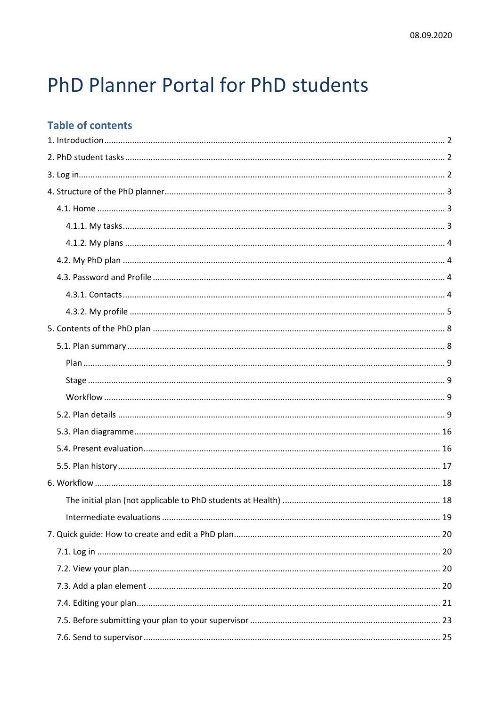# PhD Planner Portal for PhD students

# **Table of contents**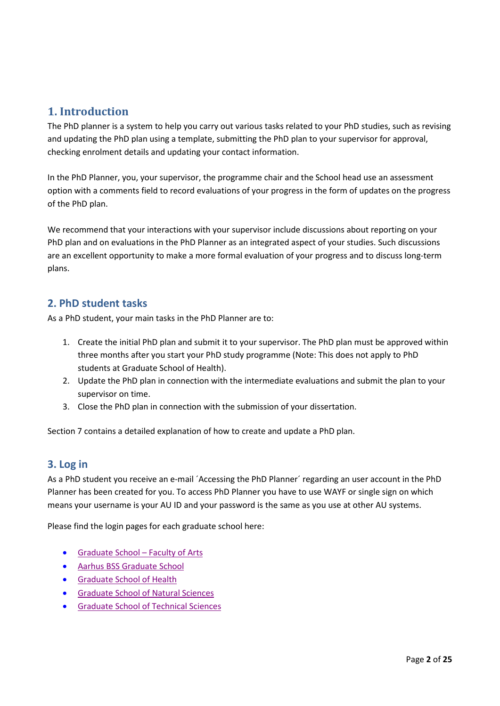# <span id="page-1-0"></span>**1. Introduction**

The PhD planner is a system to help you carry out various tasks related to your PhD studies, such as revising and updating the PhD plan using a template, submitting the PhD plan to your supervisor for approval, checking enrolment details and updating your contact information.

In the PhD Planner, you, your supervisor, the programme chair and the School head use an assessment option with a comments field to record evaluations of your progress in the form of updates on the progress of the PhD plan.

We recommend that your interactions with your supervisor include discussions about reporting on your PhD plan and on evaluations in the PhD Planner as an integrated aspect of your studies. Such discussions are an excellent opportunity to make a more formal evaluation of your progress and to discuss long-term plans.

# <span id="page-1-1"></span>**2. PhD student tasks**

As a PhD student, your main tasks in the PhD Planner are to:

- 1. Create the initial PhD plan and submit it to your supervisor. The PhD plan must be approved within three months after you start your PhD study programme (Note: This does not apply to PhD students at Graduate School of Health).
- 2. Update the PhD plan in connection with the intermediate evaluations and submit the plan to your supervisor on time.
- 3. Close the PhD plan in connection with the submission of your dissertation.

<span id="page-1-2"></span>Section 7 contains a detailed explanation of how to create and update a PhD plan.

# **3. Log in**

As a PhD student you receive an e-mail ´Accessing the PhD Planner´ regarding an user account in the PhD Planner has been created for you. To access PhD Planner you have to use WAYF or single sign on which means your username is your AU ID and your password is the same as you use at other AU systems.

Please find the login pages for each graduate school here:

- [Graduate School –](https://psys.au.dk/aphd/students-login/) Faculty of Arts
- Aarhus BSS [Graduate School](https://psys.au.dk/bphd/students-login/)
- [Graduate School of Health](https://psys.au.dk/hphd/students-login/)
- [Graduate School of Natural Sciences](https://psys.au.dk/nphd/students-login/)
- [Graduate School of Technical Sciences](https://psys.au.dk/tphd/students-login/)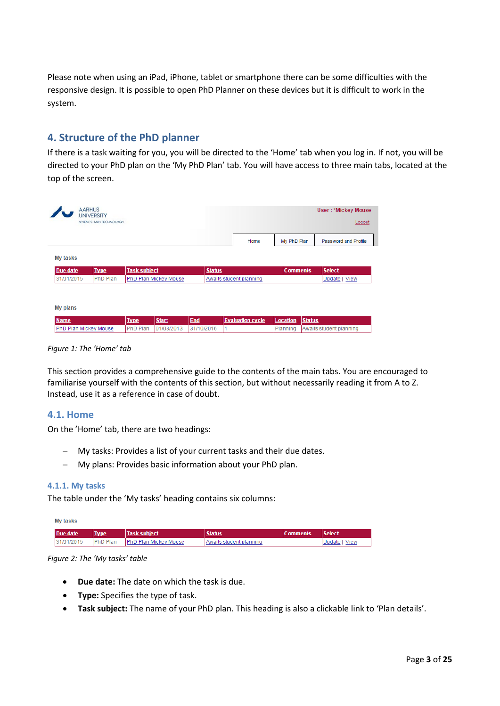Please note when using an iPad, iPhone, tablet or smartphone there can be some difficulties with the responsive design. It is possible to open PhD Planner on these devices but it is difficult to work in the system.

# <span id="page-2-0"></span>**4. Structure of the PhD planner**

If there is a task waiting for you, you will be directed to the 'Home' tab when you log in. If not, you will be directed to your PhD plan on the 'My PhD Plan' tab. You will have access to three main tabs, located at the top of the screen.

|             |  |                                              |               |                         | <b>User: *Mickey Mouse</b><br>Logout |
|-------------|--|----------------------------------------------|---------------|-------------------------|--------------------------------------|
|             |  |                                              | Home          |                         | Password and Profile                 |
|             |  |                                              |               |                         |                                      |
| <b>Type</b> |  |                                              |               |                         | <b>Select</b>                        |
| PhD Plan    |  |                                              |               |                         | Update   View                        |
|             |  | <b>Task subject</b><br>PhD Plan Mickey Mouse | <b>Status</b> | Awaits student planning | My PhD Plan<br><b>Comments</b>       |

*Figure 1: The 'Home' tab*

This section provides a comprehensive guide to the contents of the main tabs. You are encouraged to familiarise yourself with the contents of this section, but without necessarily reading it from A to Z. Instead, use it as a reference in case of doubt.

#### <span id="page-2-1"></span>**4.1. Home**

On the 'Home' tab, there are two headings:

- − My tasks: Provides a list of your current tasks and their due dates.
- − My plans: Provides basic information about your PhD plan.

#### <span id="page-2-2"></span>**4.1.1. My tasks**

The table under the 'My tasks' heading contains six columns:

| My tasks   |                 |                              |                         |                 |                       |
|------------|-----------------|------------------------------|-------------------------|-----------------|-----------------------|
| Due date   | <b>Type</b>     | <b>Task subject</b>          | <b>Status</b>           | <b>Comments</b> | <b>Select</b>         |
| 31/01/2015 | <b>PhD Plan</b> | <b>PhD Plan Mickey Mouse</b> | Awaits student planning |                 | <b>View</b><br>Update |

#### *Figure 2: The 'My tasks' table*

- **Due date:** The date on which the task is due.
- **Type:** Specifies the type of task.
- **Task subject:** The name of your PhD plan. This heading is also a clickable link to 'Plan details'.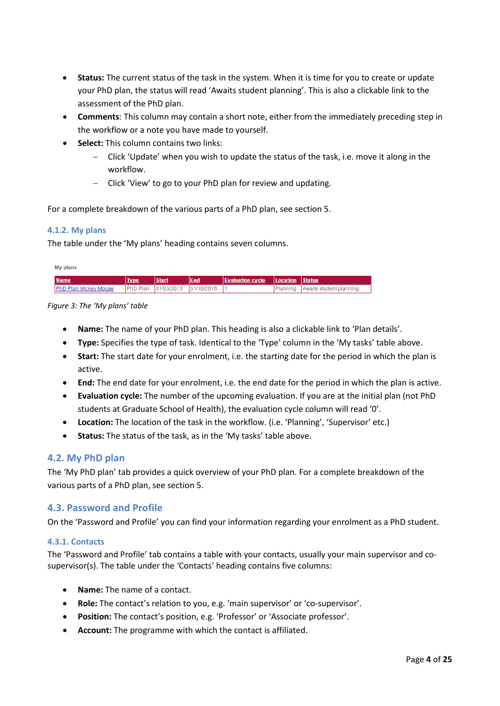- **Status:** The current status of the task in the system. When it is time for you to create or update your PhD plan, the status will read 'Awaits student planning'. This is also a clickable link to the assessment of the PhD plan.
- **Comments**: This column may contain a short note, either from the immediately preceding step in the workflow or a note you have made to yourself.
- **Select:** This column contains two links:
	- − Click 'Update' when you wish to update the status of the task, i.e. move it along in the workflow.
	- − Click 'View' to go to your PhD plan for review and updating.

For a complete breakdown of the various parts of a PhD plan, see section 5.

#### <span id="page-3-0"></span>**4.1.2. My plans**

The table under the 'My plans' heading contains seven columns.

| My plans                      |             |                     |            |                         |                   |                         |
|-------------------------------|-------------|---------------------|------------|-------------------------|-------------------|-------------------------|
| <b>Name</b>                   | <b>Type</b> | <b>Start</b>        | End        | <b>Evaluation cycle</b> | Location   Status |                         |
| <b>IPhD Plan Mickey Mouse</b> |             | PhD Plan 01/03/2013 | 31/10/2016 |                         | Planning          | Awaits student planning |

*Figure 3: The 'My plans' table*

- **Name:** The name of your PhD plan. This heading is also a clickable link to 'Plan details'.
- **Type:** Specifies the type of task. Identical to the 'Type' column in the 'My tasks' table above.
- **Start:** The start date for your enrolment, i.e. the starting date for the period in which the plan is active.
- **End:** The end date for your enrolment, i.e. the end date for the period in which the plan is active.
- **Evaluation cycle:** The number of the upcoming evaluation. If you are at the initial plan (not PhD students at Graduate School of Health), the evaluation cycle column will read '0'.
- **Location:** The location of the task in the workflow. (i.e. 'Planning', 'Supervisor' etc.)
- **Status:** The status of the task, as in the 'My tasks' table above.

#### <span id="page-3-1"></span>**4.2. My PhD plan**

The 'My PhD plan' tab provides a quick overview of your PhD plan. For a complete breakdown of the various parts of a PhD plan, see section 5.

#### <span id="page-3-2"></span>**4.3. Password and Profile**

<span id="page-3-3"></span>On the 'Password and Profile' you can find your information regarding your enrolment as a PhD student.

#### **4.3.1. Contacts**

The 'Password and Profile' tab contains a table with your contacts, usually your main supervisor and cosupervisor(s). The table under the 'Contacts' heading contains five columns:

- **Name:** The name of a contact.
- **Role:** The contact's relation to you, e.g. 'main supervisor' or 'co-supervisor'.
- **Position:** The contact's position, e.g. 'Professor' or 'Associate professor'.
- **Account:** The programme with which the contact is affiliated.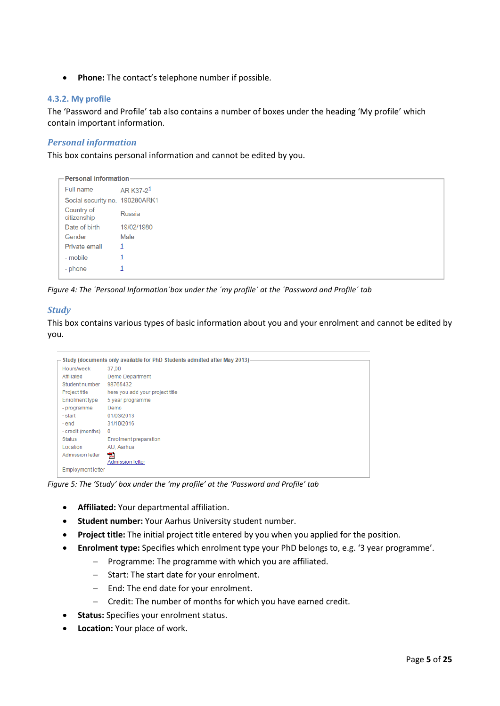• **Phone:** The contact's telephone number if possible.

#### <span id="page-4-0"></span>**4.3.2. My profile**

The 'Password and Profile' tab also contains a number of boxes under the heading 'My profile' which contain important information.

## *Personal information*

This box contains personal information and cannot be edited by you.

```
Personal information
Full name
                 AR K37-21
Social security no. 190280ARK1
Country of
                 Russia
citizenship
Date of birth  19/02/1980
                Male
Gender
Private email 1
- mobile
                 \mathbf{1}- phone
                 \mathbf{1}
```
*Figure 4: The ´Personal Information´box under the ´my profile´ at the ´Password and Profile´ tab*

## *Study*

This box contains various types of basic information about you and your enrolment and cannot be edited by you.

|                          | Study (documents only available for PhD Students admitted after May 2013) |
|--------------------------|---------------------------------------------------------------------------|
|                          |                                                                           |
| Hours/week               | 37.00                                                                     |
| Affiliated               | Demo Department                                                           |
| Student number           | 98765432                                                                  |
| Project title            | here you add your project title                                           |
| Enrolment type           | 5 year programme                                                          |
| - programme              | Demo                                                                      |
| - start                  | 01/03/2013                                                                |
| - end                    | 31/10/2016                                                                |
| - credit (months)        | $\mathbf{0}$                                                              |
| <b>Status</b>            | <b>Enrolment preparation</b>                                              |
| Location                 | AU, Aarhus                                                                |
| Admission letter         | 人<br>Admission letter                                                     |
| <b>Employment letter</b> |                                                                           |

*Figure 5: The 'Study' box under the 'my profile' at the 'Password and Profile' tab*

- **Affiliated:** Your departmental affiliation.
- **Student number:** Your Aarhus University student number.
- **Project title:** The initial project title entered by you when you applied for the position.
- **Enrolment type:** Specifies which enrolment type your PhD belongs to, e.g. '3 year programme'.
	- − Programme: The programme with which you are affiliated.
	- − Start: The start date for your enrolment.
	- − End: The end date for your enrolment.
	- − Credit: The number of months for which you have earned credit.
- **Status:** Specifies your enrolment status.
- **Location:** Your place of work.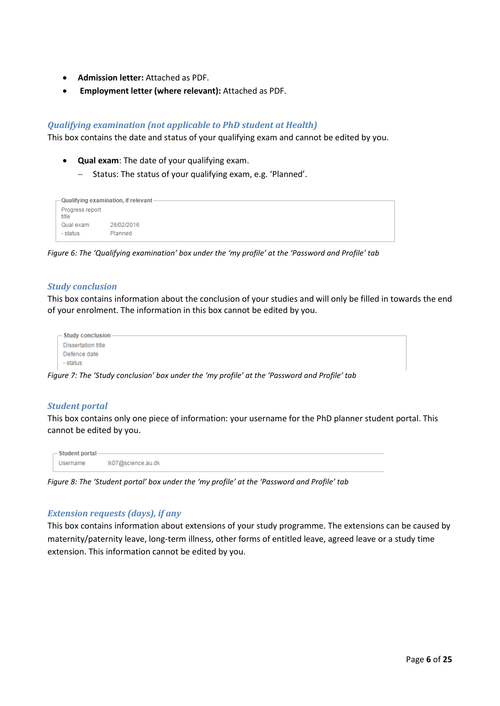- **Admission letter:** Attached as PDF.
- **Employment letter (where relevant):** Attached as PDF.

## *Qualifying examination (not applicable to PhD student at Health)*

This box contains the date and status of your qualifying exam and cannot be edited by you.

- **Qual exam**: The date of your qualifying exam.
	- − Status: The status of your qualifying exam, e.g. 'Planned'.

|                          | $-$ Qualifying examination, if relevant - |
|--------------------------|-------------------------------------------|
| Progress report<br>title |                                           |
| Qual exam                | 28/02/2016                                |
| - status                 | Planned                                   |

*Figure 6: The 'Qualifying examination' box under the 'my profile' at the 'Password and Profile' tab*

#### *Study conclusion*

This box contains information about the conclusion of your studies and will only be filled in towards the end of your enrolment. The information in this box cannot be edited by you.

| - Study conclusion |
|--------------------|
| Dissertation title |
| Defence date       |
| - status           |

*Figure 7: The 'Study conclusion' box under the 'my profile' at the 'Password and Profile' tab*

#### *Student portal*

This box contains only one piece of information: your username for the PhD planner student portal. This cannot be edited by you.

| $-$ Student portal- |                    |
|---------------------|--------------------|
| Username            | lk07@science.au.dk |

*Figure 8: The 'Student portal' box under the 'my profile' at the 'Password and Profile' tab*

#### *Extension requests (days), if any*

This box contains information about extensions of your study programme. The extensions can be caused by maternity/paternity leave, long-term illness, other forms of entitled leave, agreed leave or a study time extension. This information cannot be edited by you.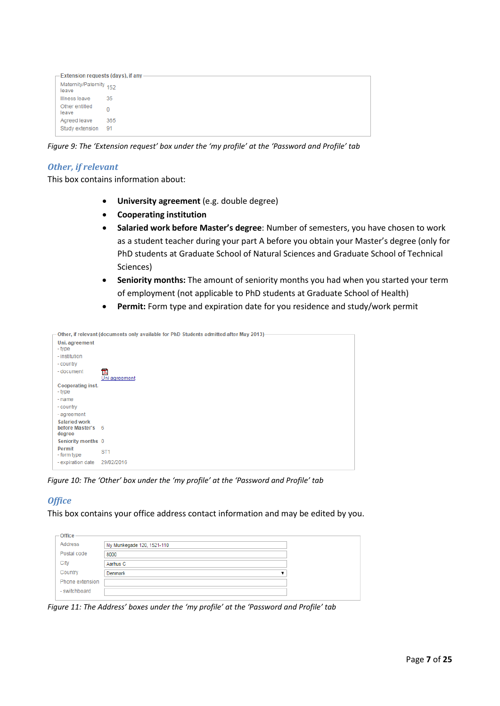| $-$ Extension requests (days), if any - |      |
|-----------------------------------------|------|
| Maternity/Paternity 152<br>leave        |      |
| Illness leave                           | 35   |
| Other entitled<br>leave                 |      |
| Agreed leave                            | 365  |
| Study extension                         | - 91 |

*Figure 9: The 'Extension request' box under the 'my profile' at the 'Password and Profile' tab*

#### *Other, if relevant*

This box contains information about:

- **University agreement** (e.g. double degree)
- **Cooperating institution**
- **Salaried work before Master's degree**: Number of semesters, you have chosen to work as a student teacher during your part A before you obtain your Master's degree (only for PhD students at Graduate School of Natural Sciences and Graduate School of Technical Sciences)
- **Seniority months:** The amount of seniority months you had when you started your term of employment (not applicable to PhD students at Graduate School of Health)
- **Permit:** Form type and expiration date for you residence and study/work permit

|                                                     | Other, if relevant (documents only available for PhD Students admitted after May 2013) |
|-----------------------------------------------------|----------------------------------------------------------------------------------------|
| Uni. agreement<br>- type                            |                                                                                        |
| - institution<br>- country                          |                                                                                        |
| - document                                          | 凤<br>Uni agreement                                                                     |
| Cooperating inst.<br>- type                         |                                                                                        |
| - name                                              |                                                                                        |
| - country                                           |                                                                                        |
| - agreement                                         |                                                                                        |
| <b>Salaried work</b><br>before Master's 6<br>degree |                                                                                        |
| Seniority months 0                                  |                                                                                        |
| Permit<br>- form type                               | ST <sub>1</sub>                                                                        |
| - expiration date                                   | 29/02/2016                                                                             |

*Figure 10: The 'Other' box under the 'my profile' at the 'Password and Profile' tab*

#### *Office*

This box contains your office address contact information and may be edited by you.

| $-$ Office      |                            |  |
|-----------------|----------------------------|--|
| Address         | Ny Munkegade 120, 1521-110 |  |
| Postal code     | 8000                       |  |
| City            | Aarhus C                   |  |
| Country         | Denmark                    |  |
| Phone extension |                            |  |
| - switchboard   |                            |  |
|                 |                            |  |

*Figure 11: The Address' boxes under the 'my profile' at the 'Password and Profile' tab*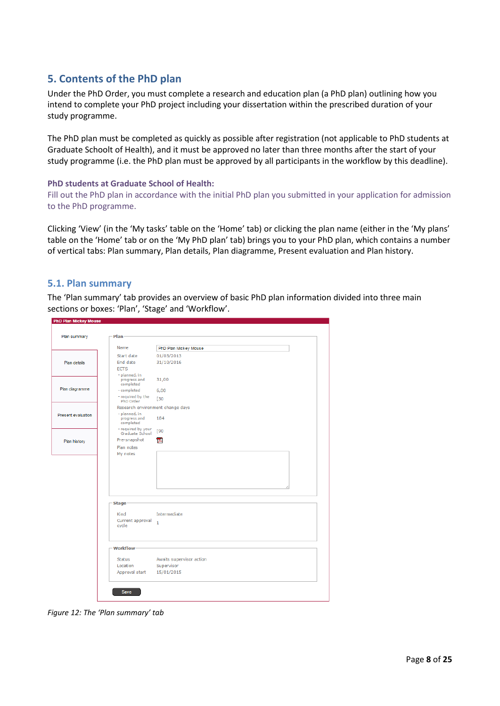# <span id="page-7-0"></span>**5. Contents of the PhD plan**

Under the PhD Order, you must complete a research and education plan (a PhD plan) outlining how you intend to complete your PhD project including your dissertation within the prescribed duration of your study programme.

The PhD plan must be completed as quickly as possible after registration (not applicable to PhD students at Graduate Schoolt of Health), and it must be approved no later than three months after the start of your study programme (i.e. the PhD plan must be approved by all participants in the workflow by this deadline).

#### **PhD students at Graduate School of Health:**

Fill out the PhD plan in accordance with the initial PhD plan you submitted in your application for admission to the PhD programme.

Clicking 'View' (in the 'My tasks' table on the 'Home' tab) or clicking the plan name (either in the 'My plans' table on the 'Home' tab or on the 'My PhD plan' tab) brings you to your PhD plan, which contains a number of vertical tabs: Plan summary, Plan details, Plan diagramme, Present evaluation and Plan history.

## <span id="page-7-1"></span>**5.1. Plan summary**

The 'Plan summary' tab provides an overview of basic PhD plan information divided into three main sections or boxes: 'Plan', 'Stage' and 'Workflow'.

| Plan summary       | Plan                                       |                          |
|--------------------|--------------------------------------------|--------------------------|
|                    | Name                                       | PhD Plan Mickey Mouse    |
|                    | Start date                                 | 01/03/2013               |
| Plan details       | End date                                   | 31/10/2016               |
|                    | <b>ECTS</b>                                |                          |
|                    | - planned, in<br>progress and<br>completed | 31,00                    |
| Plan diagramme     | - completed                                | 6,00                     |
|                    | - required by the<br>PhD Order             | [30                      |
|                    | Research environment change days           |                          |
| Present evaluation | - planned, in<br>progress and<br>completed | 184                      |
|                    | - required by your<br>Graduate School      | [90                      |
| Plan history       | Pre-snapshot                               | 친                        |
|                    | Plan notes                                 |                          |
|                    |                                            |                          |
|                    | <b>Stage</b>                               |                          |
|                    | Kind                                       | Intermediate             |
|                    | Current approval<br>cycle                  | $\mathbf{1}$             |
|                    | <b>Workflow</b>                            |                          |
|                    | <b>Status</b>                              | Awaits supervisor action |
|                    | Location                                   | Supervisor               |
|                    | Approval start                             | 15/01/2015               |
|                    |                                            |                          |

*Figure 12: The 'Plan summary' tab*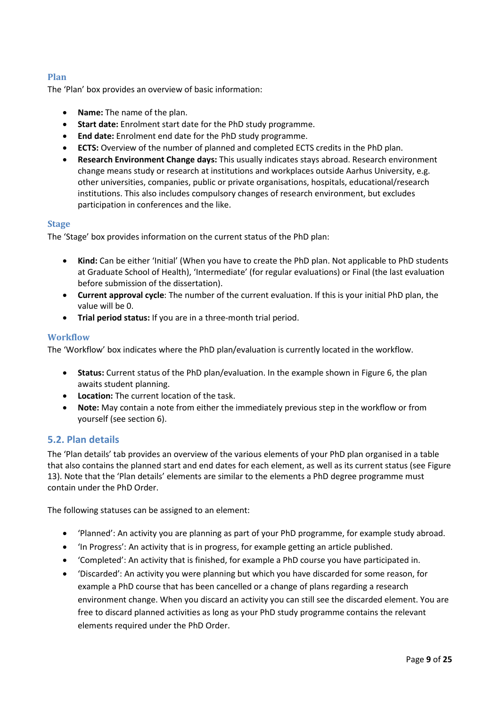## <span id="page-8-0"></span>**Plan**

The 'Plan' box provides an overview of basic information:

- **Name:** The name of the plan.
- **Start date:** Enrolment start date for the PhD study programme.
- **End date:** Enrolment end date for the PhD study programme.
- **ECTS:** Overview of the number of planned and completed ECTS credits in the PhD plan.
- **Research Environment Change days:** This usually indicates stays abroad. Research environment change means study or research at institutions and workplaces outside Aarhus University, e.g. other universities, companies, public or private organisations, hospitals, educational/research institutions. This also includes compulsory changes of research environment, but excludes participation in conferences and the like.

#### <span id="page-8-1"></span>**Stage**

The 'Stage' box provides information on the current status of the PhD plan:

- **Kind:** Can be either 'Initial' (When you have to create the PhD plan. Not applicable to PhD students at Graduate School of Health), 'Intermediate' (for regular evaluations) or Final (the last evaluation before submission of the dissertation).
- **Current approval cycle**: The number of the current evaluation. If this is your initial PhD plan, the value will be 0.
- **Trial period status:** If you are in a three-month trial period.

#### <span id="page-8-2"></span>**Workflow**

The 'Workflow' box indicates where the PhD plan/evaluation is currently located in the workflow.

- **Status:** Current status of the PhD plan/evaluation. In the example shown in Figure 6, the plan awaits student planning.
- **Location:** The current location of the task.
- **Note:** May contain a note from either the immediately previous step in the workflow or from yourself (see section 6).

#### <span id="page-8-3"></span>**5.2. Plan details**

The 'Plan details' tab provides an overview of the various elements of your PhD plan organised in a table that also contains the planned start and end dates for each element, as well as its current status (see Figure 13). Note that the 'Plan details' elements are similar to the elements a PhD degree programme must contain under the PhD Order.

The following statuses can be assigned to an element:

- 'Planned': An activity you are planning as part of your PhD programme, for example study abroad.
- 'In Progress': An activity that is in progress, for example getting an article published.
- 'Completed': An activity that is finished, for example a PhD course you have participated in.
- 'Discarded': An activity you were planning but which you have discarded for some reason, for example a PhD course that has been cancelled or a change of plans regarding a research environment change. When you discard an activity you can still see the discarded element. You are free to discard planned activities as long as your PhD study programme contains the relevant elements required under the PhD Order.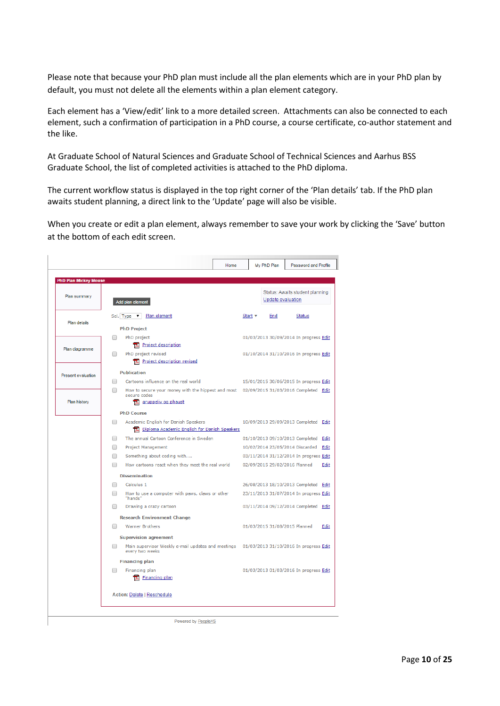Please note that because your PhD plan must include all the plan elements which are in your PhD plan by default, you must not delete all the elements within a plan element category.

Each element has a 'View/edit' link to a more detailed screen. Attachments can also be connected to each element, such a confirmation of participation in a PhD course, a course certificate, co-author statement and the like.

At Graduate School of Natural Sciences and Graduate School of Technical Sciences and Aarhus BSS Graduate School, the list of completed activities is attached to the PhD diploma.

The current workflow status is displayed in the top right corner of the 'Plan details' tab. If the PhD plan awaits student planning, a direct link to the 'Update' page will also be visible.

When you create or edit a plan element, always remember to save your work by clicking the 'Save' button at the bottom of each edit screen.

| <b>PhD Plan Mickey Mouse</b> |                                                                                                                                      |                                 |                                        |
|------------------------------|--------------------------------------------------------------------------------------------------------------------------------------|---------------------------------|----------------------------------------|
| Plan summary                 | Add plan element                                                                                                                     | Update evaluation               | Status: Awaits student planning        |
| Plan details                 | Plan element<br>Sel. Type v                                                                                                          | Start v<br>End                  | <b>Status</b>                          |
|                              | <b>PhD Project</b><br>PhD project<br>□                                                                                               |                                 | 01/03/2013 30/09/2014 In progress Edit |
| Plan diagramme               | <b>Ex</b> Project description<br>PhD project revised<br>∩                                                                            |                                 | 01/10/2014 31/10/2016 In progress Edit |
|                              | <b>Ex</b> Project description revised                                                                                                |                                 |                                        |
| <b>Present evaluation</b>    | <b>Publication</b>                                                                                                                   |                                 |                                        |
|                              | Cartoons influence on the real world<br>How to secure your money with the hippest and most 02/09/2015 31/03/2016 Completed Edit<br>□ |                                 | 15/01/2015 30/06/2015 In progress Edit |
| Plan history                 | secure codes<br>gruppeliv og phaust                                                                                                  |                                 |                                        |
|                              | <b>PhD Course</b>                                                                                                                    |                                 |                                        |
|                              | Academic English for Danish Speakers<br>∩<br>Diploma Academic English for Danish Speakers                                            |                                 | 10/09/2013 29/09/2013 Completed Edit   |
|                              | The annual Cartoon Conference in Sweden<br>∩                                                                                         | 01/10/2013 09/10/2013 Completed | Edit                                   |
|                              | Project Management<br>∩                                                                                                              | 10/02/2014 23/05/2014 Discarded | Edit                                   |
|                              | Something about coding with<br>□                                                                                                     |                                 | 03/11/2014 31/12/2014 In progress Edit |
|                              | How cartoons react when they meet the real world                                                                                     | 02/09/2015 29/02/2016 Planned   | Edit                                   |
|                              | <b>Dissemination</b>                                                                                                                 |                                 |                                        |
|                              | Calculus 1                                                                                                                           |                                 | 26/08/2013 18/10/2013 Completed Edit   |
|                              | How to use a computer with paws, claws or other<br>"hands"                                                                           |                                 | 23/11/2013 31/07/2014 In progress Edit |
|                              | ∩<br>Drawing a crazy cartoon                                                                                                         |                                 | 03/11/2014 09/12/2014 Completed Edit   |
|                              | <b>Research Environment Change</b>                                                                                                   |                                 |                                        |
|                              | <b>Warner Brothers</b>                                                                                                               | 01/03/2015 31/08/2015 Planned   | Edit                                   |
|                              | <b>Supervision agreement</b>                                                                                                         |                                 |                                        |
|                              | Main supervisor Weekly e-mail updates and meetings 01/03/2013 31/10/2016 In progress Edit<br>every two weeks                         |                                 |                                        |
|                              | <b>Financing plan</b>                                                                                                                |                                 |                                        |
|                              | Financing plan<br>Financing plan                                                                                                     |                                 | 01/03/2013 01/03/2016 In progress Edit |
|                              | Action: Delete   Reschedule                                                                                                          |                                 |                                        |

Powered by PeopleXS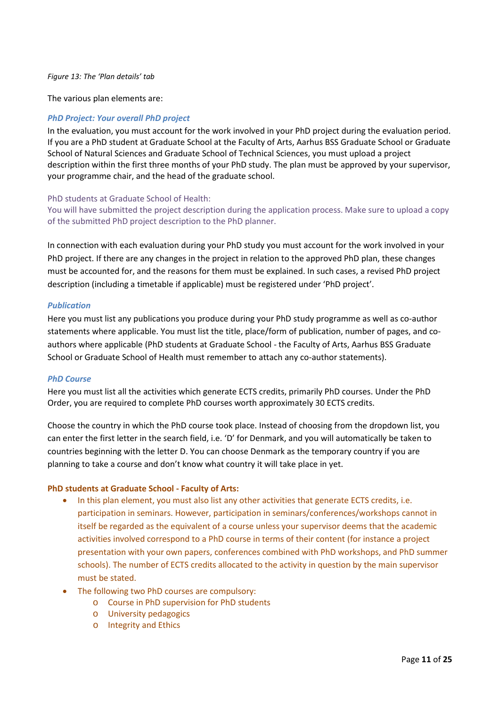#### *Figure 13: The 'Plan details' tab*

The various plan elements are:

#### *PhD Project: Your overall PhD project*

In the evaluation, you must account for the work involved in your PhD project during the evaluation period. If you are a PhD student at Graduate School at the Faculty of Arts, Aarhus BSS Graduate School or Graduate School of Natural Sciences and Graduate School of Technical Sciences, you must upload a project description within the first three months of your PhD study. The plan must be approved by your supervisor, your programme chair, and the head of the graduate school.

#### PhD students at Graduate School of Health:

You will have submitted the project description during the application process. Make sure to upload a copy of the submitted PhD project description to the PhD planner.

In connection with each evaluation during your PhD study you must account for the work involved in your PhD project. If there are any changes in the project in relation to the approved PhD plan, these changes must be accounted for, and the reasons for them must be explained. In such cases, a revised PhD project description (including a timetable if applicable) must be registered under 'PhD project'.

#### *Publication*

Here you must list any publications you produce during your PhD study programme as well as co-author statements where applicable. You must list the title, place/form of publication, number of pages, and coauthors where applicable (PhD students at Graduate School - the Faculty of Arts, Aarhus BSS Graduate School or Graduate School of Health must remember to attach any co-author statements).

#### *PhD Course*

Here you must list all the activities which generate ECTS credits, primarily PhD courses. Under the PhD Order, you are required to complete PhD courses worth approximately 30 ECTS credits.

Choose the country in which the PhD course took place. Instead of choosing from the dropdown list, you can enter the first letter in the search field, i.e. 'D' for Denmark, and you will automatically be taken to countries beginning with the letter D. You can choose Denmark as the temporary country if you are planning to take a course and don't know what country it will take place in yet.

#### **PhD students at Graduate School - Faculty of Arts:**

- In this plan element, you must also list any other activities that generate ECTS credits, i.e. participation in seminars. However, participation in seminars/conferences/workshops cannot in itself be regarded as the equivalent of a course unless your supervisor deems that the academic activities involved correspond to a PhD course in terms of their content (for instance a project presentation with your own papers, conferences combined with PhD workshops, and PhD summer schools). The number of ECTS credits allocated to the activity in question by the main supervisor must be stated.
- The following two PhD courses are compulsory:
	- o Course in PhD supervision for PhD students
	- o University pedagogics
	- o Integrity and Ethics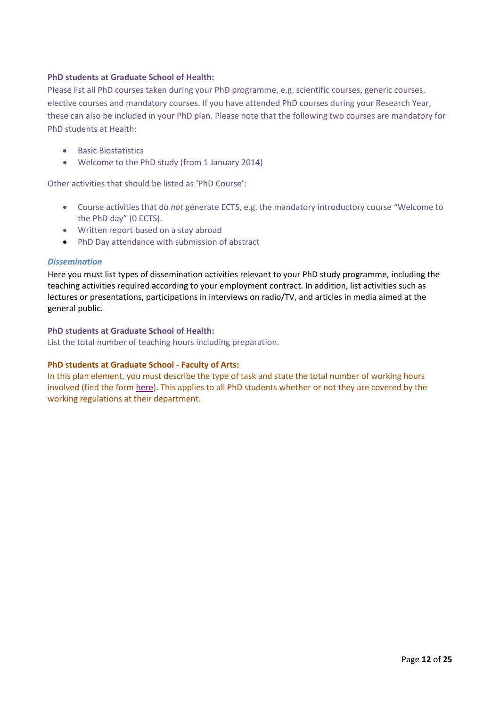#### **PhD students at Graduate School of Health:**

Please list all PhD courses taken during your PhD programme, e.g. scientific courses, generic courses, elective courses and mandatory courses. If you have attended PhD courses during your Research Year, these can also be included in your PhD plan. Please note that the following two courses are mandatory for PhD students at Health:

- Basic Biostatistics
- Welcome to the PhD study (from 1 January 2014)

Other activities that should be listed as 'PhD Course':

- Course activities that do *not* generate ECTS, e.g. the mandatory introductory course "Welcome to the PhD day" (0 ECTS).
- Written report based on a stay abroad
- PhD Day attendance with submission of abstract

#### *Dissemination*

Here you must list types of dissemination activities relevant to your PhD study programme, including the teaching activities required according to your employment contract. In addition, list activities such as lectures or presentations, participations in interviews on radio/TV, and articles in media aimed at the general public.

#### **PhD students at Graduate School of Health:**

List the total number of teaching hours including preparation.

#### **PhD students at Graduate School - Faculty of Arts:**

In this plan element, you must describe the type of task and state the total number of working hours involved (find the form [here\)](http://phd.au.dk/gradschools/arts/formsandtemplates/). This applies to all PhD students whether or not they are covered by the working regulations at their department.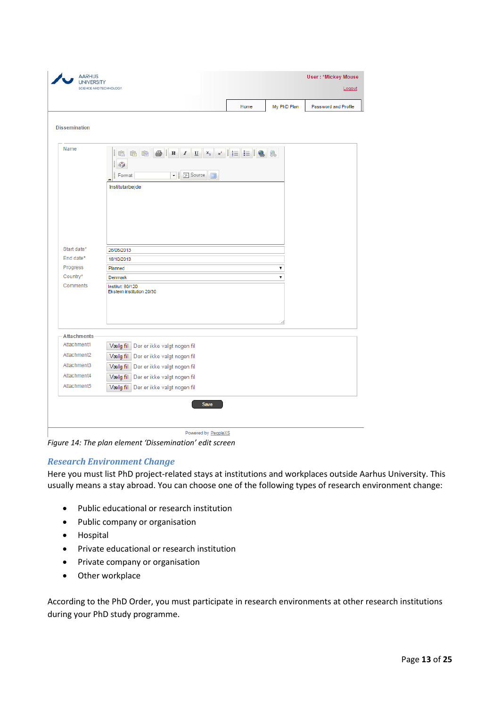| <b>UNIVERSITY</b>                 | SCIENCE AND TECHNOLOGY                                                       |   |             | <b>User: *Mickey Mouse</b><br>Logout |
|-----------------------------------|------------------------------------------------------------------------------|---|-------------|--------------------------------------|
|                                   | Home                                                                         |   | My PhD Plan | Password and Profile                 |
| <b>Dissemination</b>              |                                                                              |   |             |                                      |
| Name                              | ie<br>I<br>$\Delta\beta$<br>▼ FSource<br>$\Box$<br>Ĩ<br>Format               |   |             |                                      |
|                                   | Institutarbejde                                                              |   |             |                                      |
|                                   |                                                                              |   |             |                                      |
|                                   |                                                                              |   |             |                                      |
|                                   |                                                                              |   |             |                                      |
| Start date*                       | 26/08/2013                                                                   |   |             |                                      |
| End date*                         | 18/10/2013                                                                   |   |             |                                      |
| Progress                          | Planned                                                                      | 7 |             |                                      |
| Country*                          | Denmark                                                                      | 7 |             |                                      |
| Comments                          | Institut: 80/120<br>Ekstern institution 20/30                                |   |             |                                      |
|                                   |                                                                              |   |             |                                      |
|                                   |                                                                              |   |             |                                      |
| <b>Attachments</b><br>Attachment1 |                                                                              |   |             |                                      |
| Attachment2                       | Vælg fil Der er ikke valgt nogen fil                                         |   |             |                                      |
| Attachment3                       | Vælg fil Der er ikke valgt nogen fil                                         |   |             |                                      |
|                                   | Der er ikke valgt nogen fil<br>Vælg fil                                      |   |             |                                      |
| Attachment4<br>Attachment5        | Vælg fil Der er ikke valgt nogen fil<br>Vælg fil Der er ikke valgt nogen fil |   |             |                                      |

Powered by PeopleXS

*Figure 14: The plan element 'Dissemination' edit screen*

## *Research Environment Change*

Here you must list PhD project-related stays at institutions and workplaces outside Aarhus University. This usually means a stay abroad. You can choose one of the following types of research environment change:

- Public educational or research institution
- Public company or organisation
- Hospital
- Private educational or research institution
- Private company or organisation
- Other workplace

According to the PhD Order, you must participate in research environments at other research institutions during your PhD study programme.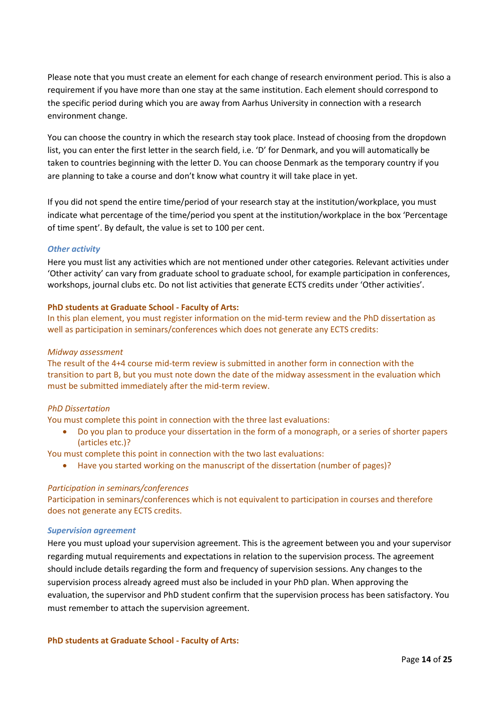Please note that you must create an element for each change of research environment period. This is also a requirement if you have more than one stay at the same institution. Each element should correspond to the specific period during which you are away from Aarhus University in connection with a research environment change.

You can choose the country in which the research stay took place. Instead of choosing from the dropdown list, you can enter the first letter in the search field, i.e. 'D' for Denmark, and you will automatically be taken to countries beginning with the letter D. You can choose Denmark as the temporary country if you are planning to take a course and don't know what country it will take place in yet.

If you did not spend the entire time/period of your research stay at the institution/workplace, you must indicate what percentage of the time/period you spent at the institution/workplace in the box 'Percentage of time spent'. By default, the value is set to 100 per cent.

#### *Other activity*

Here you must list any activities which are not mentioned under other categories. Relevant activities under 'Other activity' can vary from graduate school to graduate school, for example participation in conferences, workshops, journal clubs etc. Do not list activities that generate ECTS credits under 'Other activities'.

#### **PhD students at Graduate School - Faculty of Arts:**

In this plan element, you must register information on the mid-term review and the PhD dissertation as well as participation in seminars/conferences which does not generate any ECTS credits:

#### *Midway assessment*

The result of the 4+4 course mid-term review is submitted in another form in connection with the transition to part B, but you must note down the date of the midway assessment in the evaluation which must be submitted immediately after the mid-term review.

#### *PhD Dissertation*

You must complete this point in connection with the three last evaluations:

• Do you plan to produce your dissertation in the form of a monograph, or a series of shorter papers (articles etc.)?

You must complete this point in connection with the two last evaluations:

• Have you started working on the manuscript of the dissertation (number of pages)?

#### *Participation in seminars/conferences*

Participation in seminars/conferences which is not equivalent to participation in courses and therefore does not generate any ECTS credits.

#### *Supervision agreement*

Here you must upload your supervision agreement. This is the agreement between you and your supervisor regarding mutual requirements and expectations in relation to the supervision process. The agreement should include details regarding the form and frequency of supervision sessions. Any changes to the supervision process already agreed must also be included in your PhD plan. When approving the evaluation, the supervisor and PhD student confirm that the supervision process has been satisfactory. You must remember to attach the supervision agreement.

**PhD students at Graduate School - Faculty of Arts:**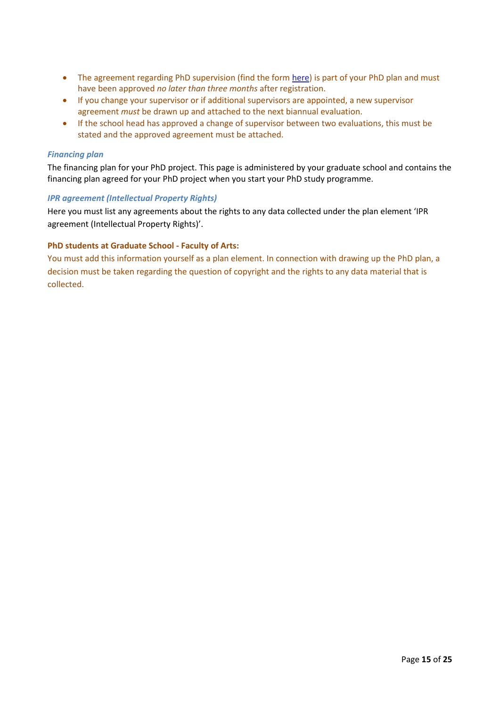- The agreement regarding PhD supervision (find the form [here\)](http://phd.au.dk/gradschools/arts/formsandtemplates/) is part of your PhD plan and must have been approved *no later than three months* after registration.
- If you change your supervisor or if additional supervisors are appointed, a new supervisor agreement *must* be drawn up and attached to the next biannual evaluation.
- If the school head has approved a change of supervisor between two evaluations, this must be stated and the approved agreement must be attached.

#### *Financing plan*

The financing plan for your PhD project. This page is administered by your graduate school and contains the financing plan agreed for your PhD project when you start your PhD study programme.

#### *IPR agreement (Intellectual Property Rights)*

Here you must list any agreements about the rights to any data collected under the plan element 'IPR agreement (Intellectual Property Rights)'.

#### **PhD students at Graduate School - Faculty of Arts:**

You must add this information yourself as a plan element. In connection with drawing up the PhD plan, a decision must be taken regarding the question of copyright and the rights to any data material that is collected.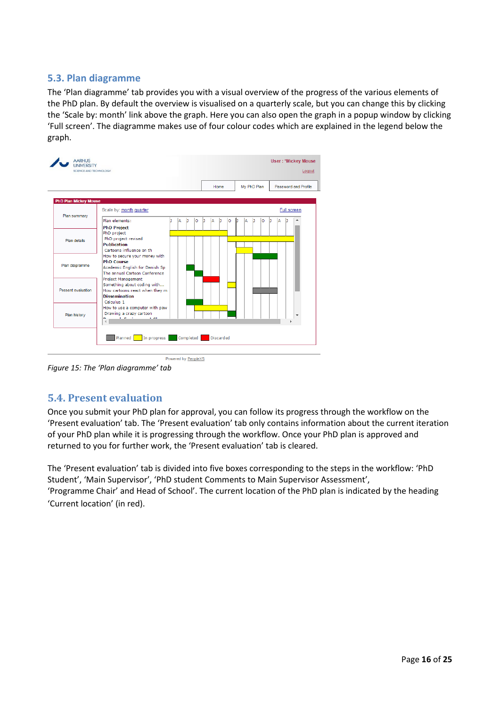# <span id="page-15-0"></span>**5.3. Plan diagramme**

The 'Plan diagramme' tab provides you with a visual overview of the progress of the various elements of the PhD plan. By default the overview is visualised on a quarterly scale, but you can change this by clicking the 'Scale by: month' link above the graph. Here you can also open the graph in a popup window by clicking 'Full screen'. The diagramme makes use of four colour codes which are explained in the legend below the graph.

|                              |                                                                                                                                                                         |   |   |         |   | Home   |    | My PhD Plan  | Password and Profile     |
|------------------------------|-------------------------------------------------------------------------------------------------------------------------------------------------------------------------|---|---|---------|---|--------|----|--------------|--------------------------|
| <b>PhD Plan Mickey Mouse</b> |                                                                                                                                                                         |   |   |         |   |        |    |              |                          |
| Plan summary                 | Scale by: month quarter                                                                                                                                                 |   |   |         |   |        |    |              | Full screen              |
|                              | Plan elements:<br><b>PhD Project</b>                                                                                                                                    | ٦ | A | h<br>lo | ı | A<br>h | lo | b<br>lo<br>A | h<br>A                   |
| Plan details                 | PhD project<br>PhD project revised<br><b>Publication</b>                                                                                                                |   |   |         |   |        |    |              |                          |
| Plan diagramme               | Cartoons influence on th<br>How to secure your money with<br><b>PhD Course</b><br>Academic English for Danish Sp<br>The annual Cartoon Conference<br>Project Management |   |   |         |   |        |    |              |                          |
| Present evaluation           | Something about coding with<br>How cartoons react when they m<br><b>Dissemination</b><br>Calculus 1                                                                     |   |   |         |   |        |    |              |                          |
| Plan history                 | How to use a computer with paw<br>Drawing a crazy cartoon<br><b>Contract</b><br><b>Contract</b>                                                                         |   |   |         |   |        |    |              | $\overline{\phantom{a}}$ |

*Figure 15: The 'Plan diagramme' tab*

# <span id="page-15-1"></span>**5.4. Present evaluation**

Once you submit your PhD plan for approval, you can follow its progress through the workflow on the 'Present evaluation' tab. The 'Present evaluation' tab only contains information about the current iteration of your PhD plan while it is progressing through the workflow. Once your PhD plan is approved and returned to you for further work, the 'Present evaluation' tab is cleared.

The 'Present evaluation' tab is divided into five boxes corresponding to the steps in the workflow: 'PhD Student', 'Main Supervisor', 'PhD student Comments to Main Supervisor Assessment', 'Programme Chair' and Head of School'. The current location of the PhD plan is indicated by the heading 'Current location' (in red).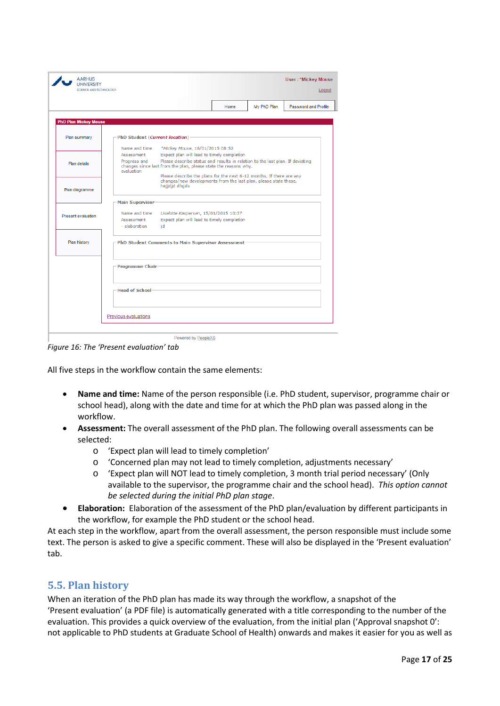|                              |                                 |                                                                                                                                                           | Home | My PhD Plan | Password and Profile |
|------------------------------|---------------------------------|-----------------------------------------------------------------------------------------------------------------------------------------------------------|------|-------------|----------------------|
|                              |                                 |                                                                                                                                                           |      |             |                      |
| <b>PhD Plan Mickey Mouse</b> |                                 |                                                                                                                                                           |      |             |                      |
| Plan summary                 | PhD Student (Current location)- |                                                                                                                                                           |      |             |                      |
|                              | Name and time                   | *Mickey Mouse, 16/01/2015 08:52                                                                                                                           |      |             |                      |
|                              | Assessment                      | Expect plan will lead to timely completion                                                                                                                |      |             |                      |
| Plan details                 | Progress and<br>evaluation      | Please describe status and results in relation to the last plan. If deviating<br>changes since last from the plan, please state the reasons why.          |      |             |                      |
| Plan diagramme               |                                 | Please describe the plans for the next 6-12 months. If there are any<br>changes/new developments from the last plan, please state these.<br>hejidid dhads |      |             |                      |
|                              | Main Supervisor                 |                                                                                                                                                           |      |             |                      |
| Present evaluation           | Name and time                   | Liselotte Kaspersen, 15/01/2015 10:37                                                                                                                     |      |             |                      |
|                              | Assessment<br>- elaboration     | Expect plan will lead to timely completion<br>id                                                                                                          |      |             |                      |
| Plan history                 |                                 | PhD Student Comments to Main Supervisor Assessment                                                                                                        |      |             |                      |
|                              |                                 |                                                                                                                                                           |      |             |                      |
|                              | Programme Chair-                |                                                                                                                                                           |      |             |                      |
|                              | - Head of School:               |                                                                                                                                                           |      |             |                      |
|                              |                                 |                                                                                                                                                           |      |             |                      |

*Figure 16: The 'Present evaluation' tab*

All five steps in the workflow contain the same elements:

- **Name and time:** Name of the person responsible (i.e. PhD student, supervisor, programme chair or school head), along with the date and time for at which the PhD plan was passed along in the workflow.
- **Assessment:** The overall assessment of the PhD plan. The following overall assessments can be selected:
	- o 'Expect plan will lead to timely completion'
	- o 'Concerned plan may not lead to timely completion, adjustments necessary'
	- o 'Expect plan will NOT lead to timely completion, 3 month trial period necessary' (Only available to the supervisor, the programme chair and the school head). *This option cannot be selected during the initial PhD plan stage*.
- **Elaboration:** Elaboration of the assessment of the PhD plan/evaluation by different participants in the workflow, for example the PhD student or the school head.

At each step in the workflow, apart from the overall assessment, the person responsible must include some text. The person is asked to give a specific comment. These will also be displayed in the 'Present evaluation' tab.

## <span id="page-16-0"></span>**5.5. Plan history**

When an iteration of the PhD plan has made its way through the workflow, a snapshot of the 'Present evaluation' (a PDF file) is automatically generated with a title corresponding to the number of the evaluation. This provides a quick overview of the evaluation, from the initial plan ('Approval snapshot 0': not applicable to PhD students at Graduate School of Health) onwards and makes it easier for you as well as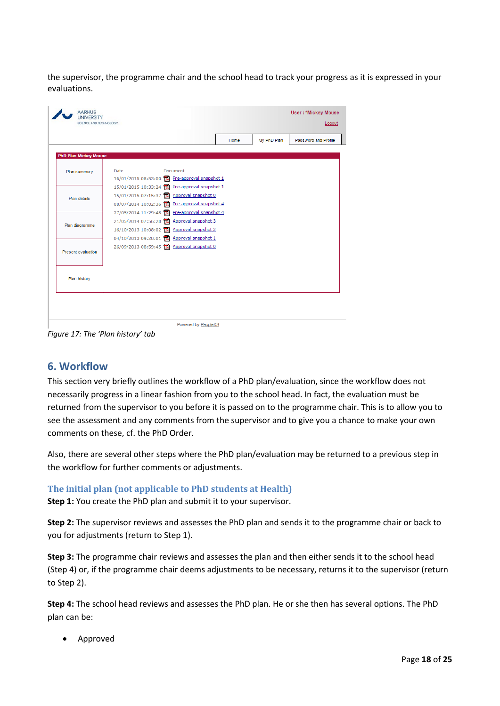the supervisor, the programme chair and the school head to track your progress as it is expressed in your evaluations.

|                              |      |                                                  | Home | My PhD Plan | Password and Profile |
|------------------------------|------|--------------------------------------------------|------|-------------|----------------------|
| <b>PhD Plan Mickey Mouse</b> |      |                                                  |      |             |                      |
|                              |      |                                                  |      |             |                      |
| Plan summary                 | Date | Document                                         |      |             |                      |
|                              |      | 16/01/2015 08:53:00 Pre-approval snapshot 1      |      |             |                      |
|                              |      | 15/01/2015 10:33:24 Pre-approval snapshot 1      |      |             |                      |
| Plan details                 |      | 15/01/2015 07:15:37 <b>R</b> Approval snapshot 0 |      |             |                      |
|                              |      | 08/07/2014 10:02:36 R Pre-approval snapshot 4    |      |             |                      |
|                              |      | 27/05/2014 11:29:48 R Pre-approval snapshot 4    |      |             |                      |
| Plan diagramme               |      | 21/05/2014 07:56:28 <b>R</b> Approval snapshot 3 |      |             |                      |
|                              |      | 16/10/2013 10:08:02 R Approval snapshot 2        |      |             |                      |
|                              |      | 04/10/2013 09:20:01 Approval snapshot 1          |      |             |                      |
| Present evaluation           |      | 26/09/2013 08:59:45 Approval snapshot 0          |      |             |                      |
|                              |      |                                                  |      |             |                      |
|                              |      |                                                  |      |             |                      |
| Plan history                 |      |                                                  |      |             |                      |
|                              |      |                                                  |      |             |                      |
|                              |      |                                                  |      |             |                      |

<span id="page-17-0"></span>*Figure 17: The 'Plan history' tab*

# **6. Workflow**

This section very briefly outlines the workflow of a PhD plan/evaluation, since the workflow does not necessarily progress in a linear fashion from you to the school head. In fact, the evaluation must be returned from the supervisor to you before it is passed on to the programme chair. This is to allow you to see the assessment and any comments from the supervisor and to give you a chance to make your own comments on these, cf. the PhD Order.

Also, there are several other steps where the PhD plan/evaluation may be returned to a previous step in the workflow for further comments or adjustments.

## <span id="page-17-1"></span>**The initial plan (not applicable to PhD students at Health)**

**Step 1:** You create the PhD plan and submit it to your supervisor.

**Step 2:** The supervisor reviews and assesses the PhD plan and sends it to the programme chair or back to you for adjustments (return to Step 1).

**Step 3:** The programme chair reviews and assesses the plan and then either sends it to the school head (Step 4) or, if the programme chair deems adjustments to be necessary, returns it to the supervisor (return to Step 2).

**Step 4:** The school head reviews and assesses the PhD plan. He or she then has several options. The PhD plan can be:

• Approved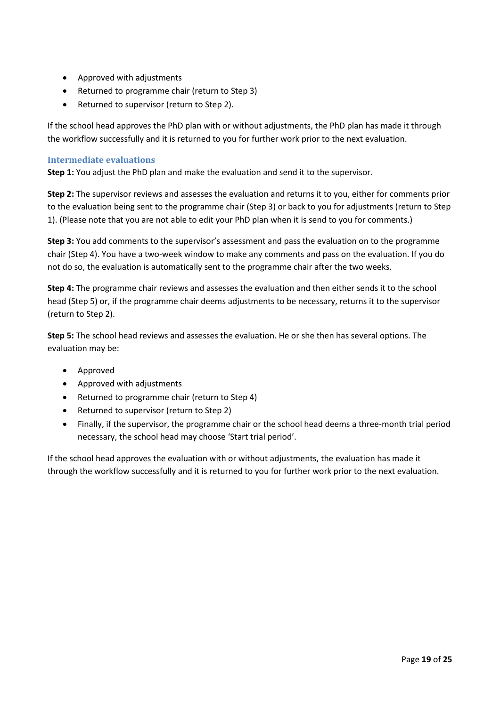- Approved with adjustments
- Returned to programme chair (return to Step 3)
- Returned to supervisor (return to Step 2).

If the school head approves the PhD plan with or without adjustments, the PhD plan has made it through the workflow successfully and it is returned to you for further work prior to the next evaluation.

## <span id="page-18-0"></span>**Intermediate evaluations**

**Step 1:** You adjust the PhD plan and make the evaluation and send it to the supervisor.

**Step 2:** The supervisor reviews and assesses the evaluation and returns it to you, either for comments prior to the evaluation being sent to the programme chair (Step 3) or back to you for adjustments (return to Step 1). (Please note that you are not able to edit your PhD plan when it is send to you for comments.)

**Step 3:** You add comments to the supervisor's assessment and pass the evaluation on to the programme chair (Step 4). You have a two-week window to make any comments and pass on the evaluation. If you do not do so, the evaluation is automatically sent to the programme chair after the two weeks.

**Step 4:** The programme chair reviews and assesses the evaluation and then either sends it to the school head (Step 5) or, if the programme chair deems adjustments to be necessary, returns it to the supervisor (return to Step 2).

**Step 5:** The school head reviews and assesses the evaluation. He or she then has several options. The evaluation may be:

- Approved
- Approved with adjustments
- Returned to programme chair (return to Step 4)
- Returned to supervisor (return to Step 2)
- Finally, if the supervisor, the programme chair or the school head deems a three-month trial period necessary, the school head may choose 'Start trial period'.

If the school head approves the evaluation with or without adjustments, the evaluation has made it through the workflow successfully and it is returned to you for further work prior to the next evaluation.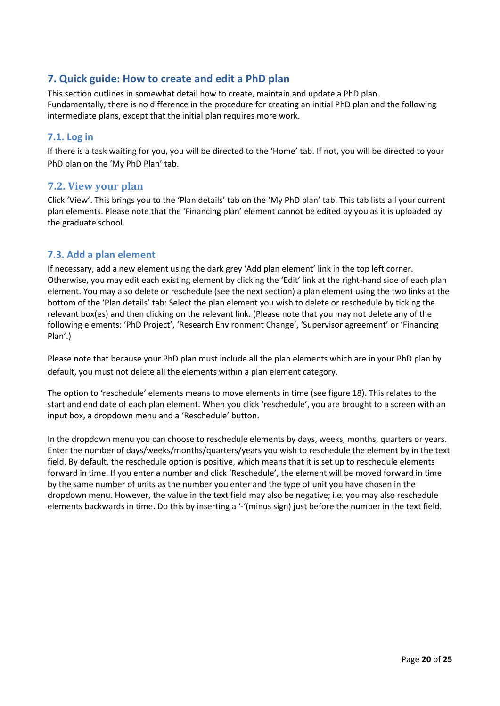# <span id="page-19-0"></span>**7. Quick guide: How to create and edit a PhD plan**

This section outlines in somewhat detail how to create, maintain and update a PhD plan. Fundamentally, there is no difference in the procedure for creating an initial PhD plan and the following intermediate plans, except that the initial plan requires more work.

# <span id="page-19-1"></span>**7.1. Log in**

If there is a task waiting for you, you will be directed to the 'Home' tab. If not, you will be directed to your PhD plan on the 'My PhD Plan' tab.

# <span id="page-19-2"></span>**7.2. View your plan**

Click 'View'. This brings you to the 'Plan details' tab on the 'My PhD plan' tab. This tab lists all your current plan elements. Please note that the 'Financing plan' element cannot be edited by you as it is uploaded by the graduate school.

# <span id="page-19-3"></span>**7.3. Add a plan element**

If necessary, add a new element using the dark grey 'Add plan element' link in the top left corner. Otherwise, you may edit each existing element by clicking the 'Edit' link at the right-hand side of each plan element. You may also delete or reschedule (see the next section) a plan element using the two links at the bottom of the 'Plan details' tab: Select the plan element you wish to delete or reschedule by ticking the relevant box(es) and then clicking on the relevant link. (Please note that you may not delete any of the following elements: 'PhD Project', 'Research Environment Change', 'Supervisor agreement' or 'Financing Plan'.)

Please note that because your PhD plan must include all the plan elements which are in your PhD plan by default, you must not delete all the elements within a plan element category.

The option to 'reschedule' elements means to move elements in time (see figure 18). This relates to the start and end date of each plan element. When you click 'reschedule', you are brought to a screen with an input box, a dropdown menu and a 'Reschedule' button.

In the dropdown menu you can choose to reschedule elements by days, weeks, months, quarters or years. Enter the number of days/weeks/months/quarters/years you wish to reschedule the element by in the text field. By default, the reschedule option is positive, which means that it is set up to reschedule elements forward in time. If you enter a number and click 'Reschedule', the element will be moved forward in time by the same number of units as the number you enter and the type of unit you have chosen in the dropdown menu. However, the value in the text field may also be negative; i.e. you may also reschedule elements backwards in time. Do this by inserting a '-'(minus sign) just before the number in the text field.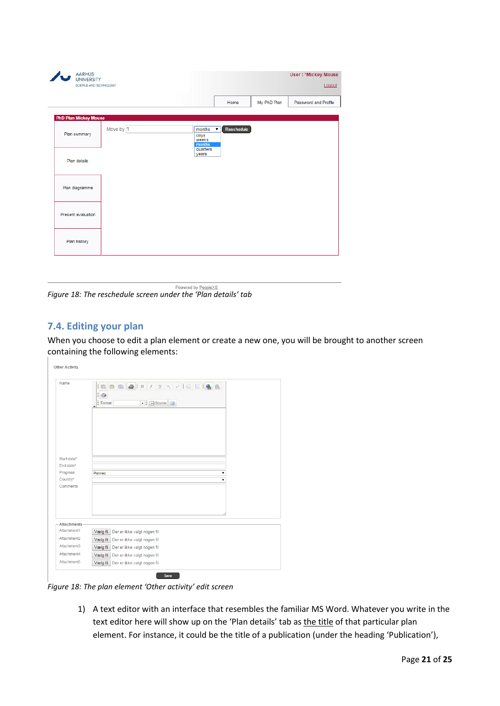| <b>AARHUS</b><br><b>UNIVERSITY</b><br>SCIENCE AND TECHNOLOGY |           |                                                           |             | <b>User: *Mickey Mouse</b><br>Logout |
|--------------------------------------------------------------|-----------|-----------------------------------------------------------|-------------|--------------------------------------|
|                                                              |           | Home                                                      | My PhD Plan | Password and Profile                 |
| <b>PhD Plan Mickey Mouse</b>                                 |           |                                                           |             |                                      |
| Plan summary                                                 | Move by 1 | months<br>$\blacktriangledown$<br>days<br>weeks<br>months | Reschedule  |                                      |
| Plan details                                                 |           | quarters<br>years                                         |             |                                      |
| Plan diagramme                                               |           |                                                           |             |                                      |
| Present evaluation                                           |           |                                                           |             |                                      |
| Plan history                                                 |           |                                                           |             |                                      |
|                                                              |           |                                                           |             |                                      |

Powered by PeopleXS *Figure 18: The reschedule screen under the 'Plan details' tab*

# <span id="page-20-0"></span>**7.4. Editing your plan**

When you choose to edit a plan element or create a new one, you will be brought to another screen containing the following elements:

| Name                 | $\overline{\mathcal{S}}$<br>Format<br>→ Bource |  |
|----------------------|------------------------------------------------|--|
|                      |                                                |  |
|                      |                                                |  |
| Start date*          |                                                |  |
| End date*            |                                                |  |
| Progress             | Planned<br>۰                                   |  |
| Country*<br>Comments | ۰                                              |  |
|                      |                                                |  |
|                      |                                                |  |
|                      |                                                |  |
|                      |                                                |  |
| <b>Attachments</b>   |                                                |  |
| Attachment1          | Vælg fil<br>Der er ikke valgt nogen fil        |  |
| Attachment2          | Vælg fil Der er ikke valgt nogen fil           |  |
| Attachment3          | Vælg fil Der er ikke valgt nogen fil           |  |
| Attachment4          | Vælg fil Der er ikke valgt nogen fil           |  |
|                      |                                                |  |

*Figure 18: The plan element 'Other activity' edit screen* 

1) A text editor with an interface that resembles the familiar MS Word. Whatever you write in the text editor here will show up on the 'Plan details' tab as the title of that particular plan element. For instance, it could be the title of a publication (under the heading 'Publication'),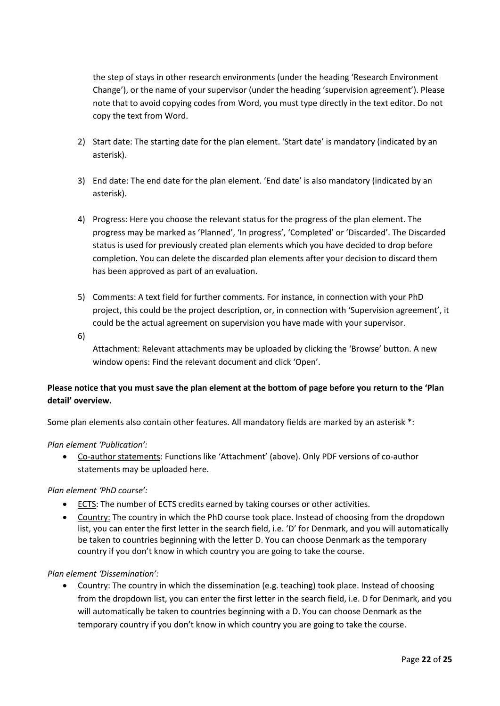the step of stays in other research environments (under the heading 'Research Environment Change'), or the name of your supervisor (under the heading 'supervision agreement'). Please note that to avoid copying codes from Word, you must type directly in the text editor. Do not copy the text from Word.

- 2) Start date: The starting date for the plan element. 'Start date' is mandatory (indicated by an asterisk).
- 3) End date: The end date for the plan element. 'End date' is also mandatory (indicated by an asterisk).
- 4) Progress: Here you choose the relevant status for the progress of the plan element. The progress may be marked as 'Planned', 'In progress', 'Completed' or 'Discarded'. The Discarded status is used for previously created plan elements which you have decided to drop before completion. You can delete the discarded plan elements after your decision to discard them has been approved as part of an evaluation.
- 5) Comments: A text field for further comments. For instance, in connection with your PhD project, this could be the project description, or, in connection with 'Supervision agreement', it could be the actual agreement on supervision you have made with your supervisor.
- 6)

Attachment: Relevant attachments may be uploaded by clicking the 'Browse' button. A new window opens: Find the relevant document and click 'Open'.

# **Please notice that you must save the plan element at the bottom of page before you return to the 'Plan detail' overview.**

Some plan elements also contain other features. All mandatory fields are marked by an asterisk \*:

#### *Plan element 'Publication':*

• Co-author statements: Functions like 'Attachment' (above). Only PDF versions of co-author statements may be uploaded here.

#### *Plan element 'PhD course':*

- ECTS: The number of ECTS credits earned by taking courses or other activities.
- Country: The country in which the PhD course took place. Instead of choosing from the dropdown list, you can enter the first letter in the search field, i.e. 'D' for Denmark, and you will automatically be taken to countries beginning with the letter D. You can choose Denmark as the temporary country if you don't know in which country you are going to take the course.

## *Plan element 'Dissemination':*

• Country: The country in which the dissemination (e.g. teaching) took place. Instead of choosing from the dropdown list, you can enter the first letter in the search field, i.e. D for Denmark, and you will automatically be taken to countries beginning with a D. You can choose Denmark as the temporary country if you don't know in which country you are going to take the course.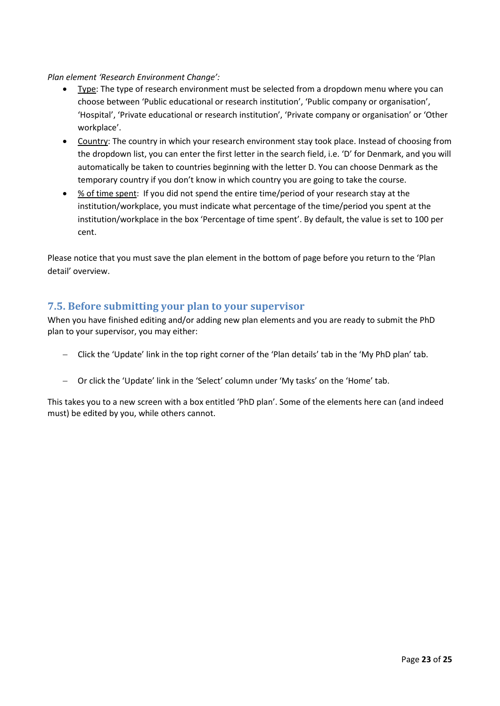## *Plan element 'Research Environment Change':*

- Type: The type of research environment must be selected from a dropdown menu where you can choose between 'Public educational or research institution', 'Public company or organisation', 'Hospital', 'Private educational or research institution', 'Private company or organisation' or 'Other workplace'.
- Country: The country in which your research environment stay took place. Instead of choosing from the dropdown list, you can enter the first letter in the search field, i.e. 'D' for Denmark, and you will automatically be taken to countries beginning with the letter D. You can choose Denmark as the temporary country if you don't know in which country you are going to take the course.
- % of time spent: If you did not spend the entire time/period of your research stay at the institution/workplace, you must indicate what percentage of the time/period you spent at the institution/workplace in the box 'Percentage of time spent'. By default, the value is set to 100 per cent.

Please notice that you must save the plan element in the bottom of page before you return to the 'Plan detail' overview.

# <span id="page-22-0"></span>**7.5. Before submitting your plan to your supervisor**

When you have finished editing and/or adding new plan elements and you are ready to submit the PhD plan to your supervisor, you may either:

- − Click the 'Update' link in the top right corner of the 'Plan details' tab in the 'My PhD plan' tab.
- − Or click the 'Update' link in the 'Select' column under 'My tasks' on the 'Home' tab.

This takes you to a new screen with a box entitled 'PhD plan'. Some of the elements here can (and indeed must) be edited by you, while others cannot.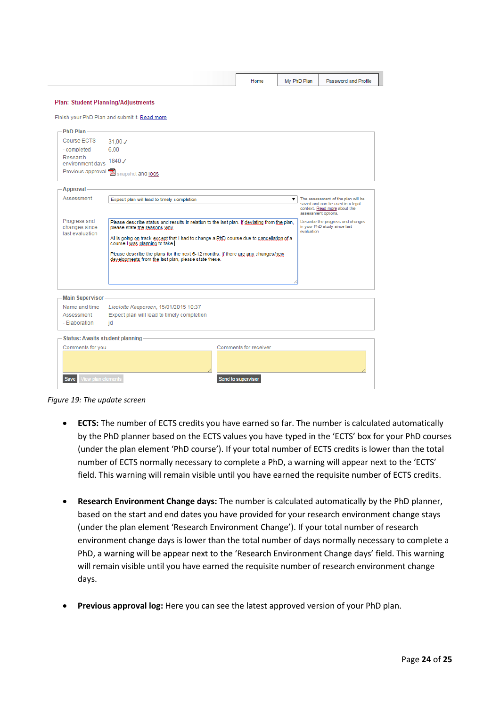| Home | PhD Plan<br>Mv | Password and Profile |
|------|----------------|----------------------|
|      |                |                      |

#### **Plan: Student Planning/Adjustments**

Finish your PhD Plan and submit it. Read more

| PhD Plan                                                                    |                                                                                                                         |                                                                                                                                                                                                                                                                             |                                                                                                                               |  |  |  |
|-----------------------------------------------------------------------------|-------------------------------------------------------------------------------------------------------------------------|-----------------------------------------------------------------------------------------------------------------------------------------------------------------------------------------------------------------------------------------------------------------------------|-------------------------------------------------------------------------------------------------------------------------------|--|--|--|
| Course FCTS                                                                 | $31.00 \checkmark$                                                                                                      |                                                                                                                                                                                                                                                                             |                                                                                                                               |  |  |  |
| - completed                                                                 | 6.00                                                                                                                    |                                                                                                                                                                                                                                                                             |                                                                                                                               |  |  |  |
| Research<br>environment days                                                | 1840 /                                                                                                                  |                                                                                                                                                                                                                                                                             |                                                                                                                               |  |  |  |
| Previous approval                                                           | Snapshot and logs                                                                                                       |                                                                                                                                                                                                                                                                             |                                                                                                                               |  |  |  |
| Approval                                                                    |                                                                                                                         |                                                                                                                                                                                                                                                                             |                                                                                                                               |  |  |  |
| Assessment                                                                  | Expect plan will lead to timely completion                                                                              |                                                                                                                                                                                                                                                                             | The assessment of the plan will be<br>saved and can be used in a legal<br>context. Read more about the<br>assessment options. |  |  |  |
| Progress and<br>changes since<br>last evaluation<br><b>Main Supervisor-</b> | please state the reasons why.<br>course I was planning to take.<br>developments from the last plan, please state these. | Please describe status and results in relation to the last plan. If deviating from the plan,<br>All is going on track except that I had to change a PhD course due to cancellation of a<br>Please describe the plans for the next 6-12 months. If there are any changes/new |                                                                                                                               |  |  |  |
| Name and time                                                               | Liselotte Kaspersen, 15/01/2015 10:37                                                                                   |                                                                                                                                                                                                                                                                             |                                                                                                                               |  |  |  |
| Assessment<br>- Elaboration                                                 | Expect plan will lead to timely completion<br>id                                                                        |                                                                                                                                                                                                                                                                             |                                                                                                                               |  |  |  |
| <b>Status: Awaits student planning</b>                                      |                                                                                                                         |                                                                                                                                                                                                                                                                             |                                                                                                                               |  |  |  |
| Comments for you                                                            |                                                                                                                         | Comments for receiver                                                                                                                                                                                                                                                       |                                                                                                                               |  |  |  |
|                                                                             |                                                                                                                         |                                                                                                                                                                                                                                                                             |                                                                                                                               |  |  |  |
| √iew plan elements<br>Save                                                  |                                                                                                                         | Send to supervisor                                                                                                                                                                                                                                                          |                                                                                                                               |  |  |  |

*Figure 19: The update screen*

- **ECTS:** The number of ECTS credits you have earned so far. The number is calculated automatically by the PhD planner based on the ECTS values you have typed in the 'ECTS' box for your PhD courses (under the plan element 'PhD course'). If your total number of ECTS credits is lower than the total number of ECTS normally necessary to complete a PhD, a warning will appear next to the 'ECTS' field. This warning will remain visible until you have earned the requisite number of ECTS credits.
- **Research Environment Change days:** The number is calculated automatically by the PhD planner, based on the start and end dates you have provided for your research environment change stays (under the plan element 'Research Environment Change'). If your total number of research environment change days is lower than the total number of days normally necessary to complete a PhD, a warning will be appear next to the 'Research Environment Change days' field. This warning will remain visible until you have earned the requisite number of research environment change days.
- **Previous approval log:** Here you can see the latest approved version of your PhD plan.